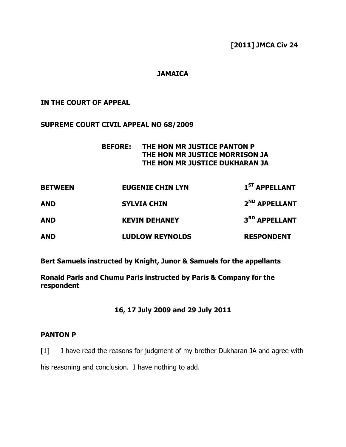[2011] JMCA Civ 24

### **JAMAICA**

## IN THE COURT OF APPEAL

#### SUPREME COURT CIVIL APPEAL NO 68/2009

# BEFORE: THE HON MR JUSTICE PANTON P THE HON MR JUSTICE MORRISON JA THE HON MR JUSTICE DUKHARAN JA

| <b>BETWEEN</b><br><b>AND</b><br><b>AND</b> | <b>EUGENIE CHIN LYN</b><br><b>SYLVIA CHIN</b><br><b>KEVIN DEHANEY</b> | 1 <sup>ST</sup> APPELLANT<br>2 <sup>ND</sup> APPELLANT<br>3 <sup>RD</sup> APPELLANT |            |                        |                   |
|--------------------------------------------|-----------------------------------------------------------------------|-------------------------------------------------------------------------------------|------------|------------------------|-------------------|
|                                            |                                                                       |                                                                                     | <b>AND</b> | <b>LUDLOW REYNOLDS</b> | <b>RESPONDENT</b> |

Bert Samuels instructed by Knight, Junor & Samuels for the appellants

Ronald Paris and Chumu Paris instructed by Paris & Company for the respondent

16, 17 July 2009 and 29 July 2011

### PANTON P

[1] I have read the reasons for judgment of my brother Dukharan JA and agree with

his reasoning and conclusion. I have nothing to add.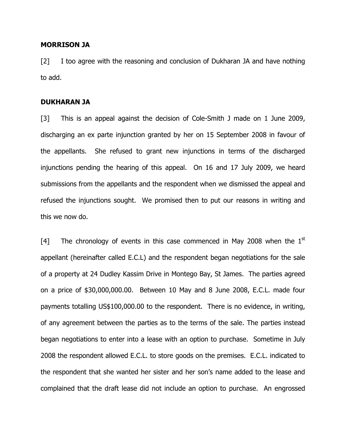#### MORRISON JA

[2] I too agree with the reasoning and conclusion of Dukharan JA and have nothing to add.

#### DUKHARAN JA

[3] This is an appeal against the decision of Cole-Smith J made on 1 June 2009, discharging an ex parte injunction granted by her on 15 September 2008 in favour of the appellants. She refused to grant new injunctions in terms of the discharged injunctions pending the hearing of this appeal. On 16 and 17 July 2009, we heard submissions from the appellants and the respondent when we dismissed the appeal and refused the injunctions sought. We promised then to put our reasons in writing and this we now do.

[4] The chronology of events in this case commenced in May 2008 when the  $1<sup>st</sup>$ appellant (hereinafter called E.C.L) and the respondent began negotiations for the sale of a property at 24 Dudley Kassim Drive in Montego Bay, St James. The parties agreed on a price of \$30,000,000.00. Between 10 May and 8 June 2008, E.C.L. made four payments totalling US\$100,000.00 to the respondent. There is no evidence, in writing, of any agreement between the parties as to the terms of the sale. The parties instead began negotiations to enter into a lease with an option to purchase. Sometime in July 2008 the respondent allowed E.C.L. to store goods on the premises. E.C.L. indicated to the respondent that she wanted her sister and her son's name added to the lease and complained that the draft lease did not include an option to purchase. An engrossed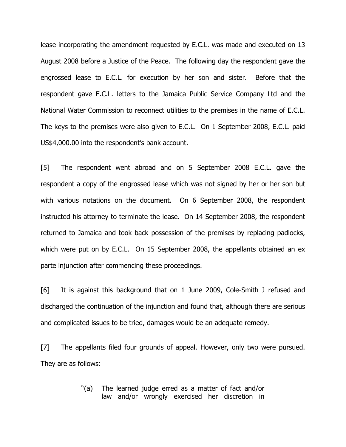lease incorporating the amendment requested by E.C.L. was made and executed on 13 August 2008 before a Justice of the Peace. The following day the respondent gave the engrossed lease to E.C.L. for execution by her son and sister. Before that the respondent gave E.C.L. letters to the Jamaica Public Service Company Ltd and the National Water Commission to reconnect utilities to the premises in the name of E.C.L. The keys to the premises were also given to E.C.L. On 1 September 2008, E.C.L. paid US\$4,000.00 into the respondent's bank account.

[5] The respondent went abroad and on 5 September 2008 E.C.L. gave the respondent a copy of the engrossed lease which was not signed by her or her son but with various notations on the document. On 6 September 2008, the respondent instructed his attorney to terminate the lease. On 14 September 2008, the respondent returned to Jamaica and took back possession of the premises by replacing padlocks, which were put on by E.C.L. On 15 September 2008, the appellants obtained an ex parte injunction after commencing these proceedings.

[6] It is against this background that on 1 June 2009, Cole-Smith J refused and discharged the continuation of the injunction and found that, although there are serious and complicated issues to be tried, damages would be an adequate remedy.

[7] The appellants filed four grounds of appeal. However, only two were pursued. They are as follows:

> "(a) The learned judge erred as a matter of fact and/or law and/or wrongly exercised her discretion in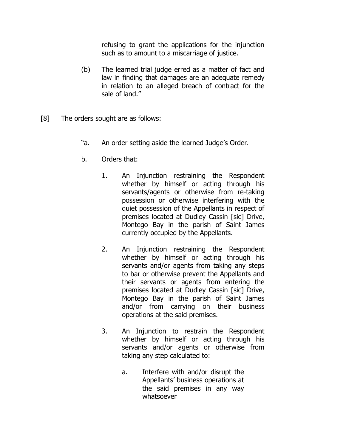refusing to grant the applications for the injunction such as to amount to a miscarriage of justice.

- (b) The learned trial judge erred as a matter of fact and law in finding that damages are an adequate remedy in relation to an alleged breach of contract for the sale of land."
- [8] The orders sought are as follows:
	- "a. An order setting aside the learned Judge's Order.
	- b. Orders that:
		- 1. An Injunction restraining the Respondent whether by himself or acting through his servants/agents or otherwise from re-taking possession or otherwise interfering with the quiet possession of the Appellants in respect of premises located at Dudley Cassin [sic] Drive, Montego Bay in the parish of Saint James currently occupied by the Appellants.
		- 2. An Injunction restraining the Respondent whether by himself or acting through his servants and/or agents from taking any steps to bar or otherwise prevent the Appellants and their servants or agents from entering the premises located at Dudley Cassin [sic] Drive, Montego Bay in the parish of Saint James and/or from carrying on their business operations at the said premises.
		- 3. An Injunction to restrain the Respondent whether by himself or acting through his servants and/or agents or otherwise from taking any step calculated to:
			- a. Interfere with and/or disrupt the Appellants' business operations at the said premises in any way whatsoever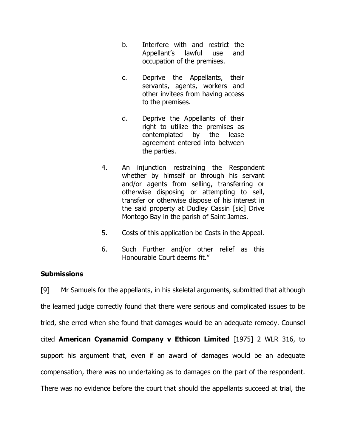- b. Interfere with and restrict the Appellant's lawful use and occupation of the premises.
- c. Deprive the Appellants, their servants, agents, workers and other invitees from having access to the premises.
- d. Deprive the Appellants of their right to utilize the premises as contemplated by the lease agreement entered into between the parties.
- 4. An injunction restraining the Respondent whether by himself or through his servant and/or agents from selling, transferring or otherwise disposing or attempting to sell, transfer or otherwise dispose of his interest in the said property at Dudley Cassin [sic] Drive Montego Bay in the parish of Saint James.
- 5. Costs of this application be Costs in the Appeal.
- 6. Such Further and/or other relief as this Honourable Court deems fit."

# **Submissions**

[9] Mr Samuels for the appellants, in his skeletal arguments, submitted that although the learned judge correctly found that there were serious and complicated issues to be tried, she erred when she found that damages would be an adequate remedy. Counsel cited American Cyanamid Company v Ethicon Limited [1975] 2 WLR 316, to support his argument that, even if an award of damages would be an adequate compensation, there was no undertaking as to damages on the part of the respondent. There was no evidence before the court that should the appellants succeed at trial, the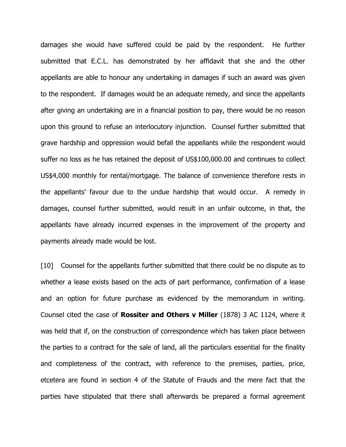damages she would have suffered could be paid by the respondent. He further submitted that E.C.L. has demonstrated by her affidavit that she and the other appellants are able to honour any undertaking in damages if such an award was given to the respondent. If damages would be an adequate remedy, and since the appellants after giving an undertaking are in a financial position to pay, there would be no reason upon this ground to refuse an interlocutory injunction. Counsel further submitted that grave hardship and oppression would befall the appellants while the respondent would suffer no loss as he has retained the deposit of US\$100,000.00 and continues to collect US\$4,000 monthly for rental/mortgage. The balance of convenience therefore rests in the appellants' favour due to the undue hardship that would occur. A remedy in damages, counsel further submitted, would result in an unfair outcome, in that, the appellants have already incurred expenses in the improvement of the property and payments already made would be lost.

[10] Counsel for the appellants further submitted that there could be no dispute as to whether a lease exists based on the acts of part performance, confirmation of a lease and an option for future purchase as evidenced by the memorandum in writing. Counsel cited the case of **Rossiter and Others v Miller** (1878) 3 AC 1124, where it was held that if, on the construction of correspondence which has taken place between the parties to a contract for the sale of land, all the particulars essential for the finality and completeness of the contract, with reference to the premises, parties, price, etcetera are found in section 4 of the Statute of Frauds and the mere fact that the parties have stipulated that there shall afterwards be prepared a formal agreement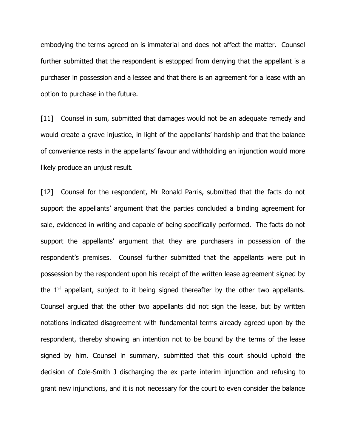embodying the terms agreed on is immaterial and does not affect the matter. Counsel further submitted that the respondent is estopped from denying that the appellant is a purchaser in possession and a lessee and that there is an agreement for a lease with an option to purchase in the future.

[11] Counsel in sum, submitted that damages would not be an adequate remedy and would create a grave injustice, in light of the appellants' hardship and that the balance of convenience rests in the appellants' favour and withholding an injunction would more likely produce an unjust result.

[12] Counsel for the respondent, Mr Ronald Parris, submitted that the facts do not support the appellants' argument that the parties concluded a binding agreement for sale, evidenced in writing and capable of being specifically performed. The facts do not support the appellants' argument that they are purchasers in possession of the respondent's premises. Counsel further submitted that the appellants were put in possession by the respondent upon his receipt of the written lease agreement signed by the  $1<sup>st</sup>$  appellant, subject to it being signed thereafter by the other two appellants. Counsel argued that the other two appellants did not sign the lease, but by written notations indicated disagreement with fundamental terms already agreed upon by the respondent, thereby showing an intention not to be bound by the terms of the lease signed by him. Counsel in summary, submitted that this court should uphold the decision of Cole-Smith J discharging the ex parte interim injunction and refusing to grant new injunctions, and it is not necessary for the court to even consider the balance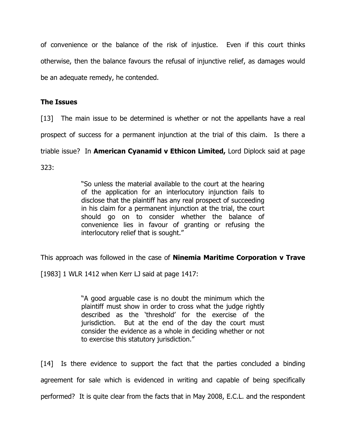of convenience or the balance of the risk of injustice. Even if this court thinks otherwise, then the balance favours the refusal of injunctive relief, as damages would be an adequate remedy, he contended.

### The Issues

[13] The main issue to be determined is whether or not the appellants have a real prospect of success for a permanent injunction at the trial of this claim. Is there a triable issue? In American Cyanamid v Ethicon Limited, Lord Diplock said at page 323:

> "So unless the material available to the court at the hearing of the application for an interlocutory injunction fails to disclose that the plaintiff has any real prospect of succeeding in his claim for a permanent injunction at the trial, the court should go on to consider whether the balance of convenience lies in favour of granting or refusing the interlocutory relief that is sought."

This approach was followed in the case of **Ninemia Maritime Corporation v Trave** 

[1983] 1 WLR 1412 when Kerr LJ said at page 1417:

"A good arguable case is no doubt the minimum which the plaintiff must show in order to cross what the judge rightly described as the 'threshold' for the exercise of the jurisdiction. But at the end of the day the court must consider the evidence as a whole in deciding whether or not to exercise this statutory jurisdiction."

[14] Is there evidence to support the fact that the parties concluded a binding agreement for sale which is evidenced in writing and capable of being specifically performed? It is quite clear from the facts that in May 2008, E.C.L. and the respondent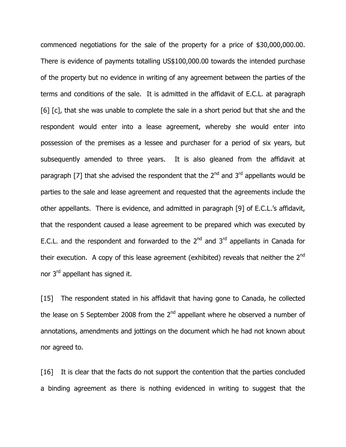commenced negotiations for the sale of the property for a price of \$30,000,000.00. There is evidence of payments totalling US\$100,000.00 towards the intended purchase of the property but no evidence in writing of any agreement between the parties of the terms and conditions of the sale. It is admitted in the affidavit of E.C.L. at paragraph [6] [c], that she was unable to complete the sale in a short period but that she and the respondent would enter into a lease agreement, whereby she would enter into possession of the premises as a lessee and purchaser for a period of six years, but subsequently amended to three years. It is also gleaned from the affidavit at paragraph [7] that she advised the respondent that the  $2<sup>nd</sup>$  and  $3<sup>rd</sup>$  appellants would be parties to the sale and lease agreement and requested that the agreements include the other appellants. There is evidence, and admitted in paragraph [9] of E.C.L.'s affidavit, that the respondent caused a lease agreement to be prepared which was executed by E.C.L. and the respondent and forwarded to the  $2^{nd}$  and  $3^{rd}$  appellants in Canada for their execution. A copy of this lease agreement (exhibited) reveals that neither the  $2<sup>nd</sup>$ nor 3rd appellant has signed it.

[15] The respondent stated in his affidavit that having gone to Canada, he collected the lease on 5 September 2008 from the  $2<sup>nd</sup>$  appellant where he observed a number of annotations, amendments and jottings on the document which he had not known about nor agreed to.

[16] It is clear that the facts do not support the contention that the parties concluded a binding agreement as there is nothing evidenced in writing to suggest that the